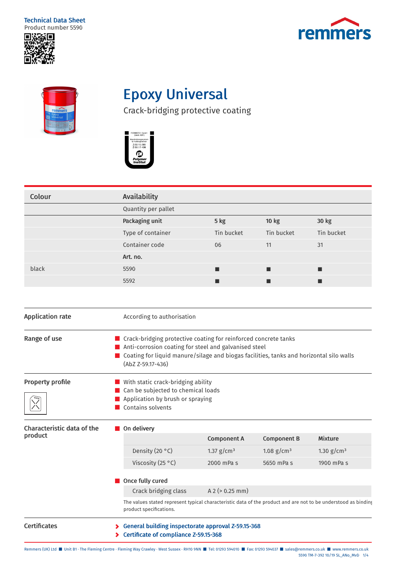Technical Data Sheet Product number 5590







## Epoxy Universal

Crack-bridging protective coating



| Colour                                | Availability                                                                                                                                                                                                                                 |                      |                    |                |  |
|---------------------------------------|----------------------------------------------------------------------------------------------------------------------------------------------------------------------------------------------------------------------------------------------|----------------------|--------------------|----------------|--|
|                                       | Quantity per pallet                                                                                                                                                                                                                          |                      |                    |                |  |
|                                       | Packaging unit                                                                                                                                                                                                                               | 5 kg                 | <b>10 kg</b>       | 30 kg          |  |
|                                       | Type of container                                                                                                                                                                                                                            | Tin bucket           | Tin bucket         | Tin bucket     |  |
|                                       | Container code                                                                                                                                                                                                                               | 06                   | 11                 | 31             |  |
|                                       | Art. no.                                                                                                                                                                                                                                     |                      |                    |                |  |
| black                                 | 5590                                                                                                                                                                                                                                         |                      | ■                  | ■              |  |
|                                       | 5592                                                                                                                                                                                                                                         | ■                    | ■                  | ■              |  |
|                                       |                                                                                                                                                                                                                                              |                      |                    |                |  |
| <b>Application rate</b>               | According to authorisation                                                                                                                                                                                                                   |                      |                    |                |  |
| Range of use                          | ■ Crack-bridging protective coating for reinforced concrete tanks<br>Anti-corrosion coating for steel and galvanised steel<br>■ Coating for liquid manure/silage and biogas facilities, tanks and horizontal silo walls<br>(AbZ Z-59.17-436) |                      |                    |                |  |
| Property profile                      | With static crack-bridging ability<br>■ Can be subjected to chemical loads<br>Application by brush or spraying<br>Contains solvents                                                                                                          |                      |                    |                |  |
| Characteristic data of the<br>product | On delivery                                                                                                                                                                                                                                  |                      |                    |                |  |
|                                       |                                                                                                                                                                                                                                              | <b>Component A</b>   | <b>Component B</b> | <b>Mixture</b> |  |
|                                       | Density (20 °C)                                                                                                                                                                                                                              | 1.37 $g/cm3$         | 1.08 $g/cm^{3}$    | 1.30 $g/cm3$   |  |
|                                       | Viscosity (25 °C)                                                                                                                                                                                                                            | 2000 mPa s           | 5650 mPa s         | 1900 mPa s     |  |
|                                       | Once fully cured                                                                                                                                                                                                                             |                      |                    |                |  |
|                                       | Crack bridging class                                                                                                                                                                                                                         | $A$ 2 ( $> 0.25$ mm) |                    |                |  |
|                                       | The values stated represent typical characteristic data of the product and are not to be understood as binding<br>product specifications.                                                                                                    |                      |                    |                |  |
| <b>Certificates</b>                   | General building inspectorate approval Z-59.15-368<br>⋗<br>Certificate of compliance Z-59.15-368                                                                                                                                             |                      |                    |                |  |

Remmers (UK) Ltd ■ Unit B1 · The Fleming Centre ∙ Fleming Way Crawley ∙ West Sussex ∙ RH10 9NN ■ Tel: 01293 594010 ■ Fax: 01293 594037 ■ sales@remmers.co.uk ■ www.remmers.co.uk 5590 TM-7-392 10/19 SL\_ANo\_MvD 1/4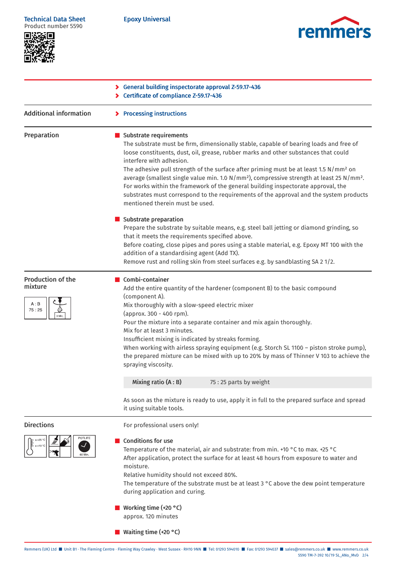Epoxy Universal





|                                                                | Seneral building inspectorate approval Z-59.17-436<br>Certificate of compliance Z-59.17-436                                                                                                                                                                                                                                                                                                                                                                                                                                                                                                                                                                                     |
|----------------------------------------------------------------|---------------------------------------------------------------------------------------------------------------------------------------------------------------------------------------------------------------------------------------------------------------------------------------------------------------------------------------------------------------------------------------------------------------------------------------------------------------------------------------------------------------------------------------------------------------------------------------------------------------------------------------------------------------------------------|
| <b>Additional information</b>                                  | > Processing instructions                                                                                                                                                                                                                                                                                                                                                                                                                                                                                                                                                                                                                                                       |
| Preparation                                                    | Substrate requirements<br>The substrate must be firm, dimensionally stable, capable of bearing loads and free of<br>loose constituents, dust, oil, grease, rubber marks and other substances that could<br>interfere with adhesion.<br>The adhesive pull strength of the surface after priming must be at least 1.5 N/mm <sup>2</sup> on<br>average (smallest single value min. 1.0 N/mm <sup>2</sup> ), compressive strength at least 25 N/mm <sup>2</sup> .<br>For works within the framework of the general building inspectorate approval, the<br>substrates must correspond to the requirements of the approval and the system products<br>mentioned therein must be used. |
|                                                                | Substrate preparation<br>Prepare the substrate by suitable means, e.g. steel ball jetting or diamond grinding, so<br>that it meets the requirements specified above.<br>Before coating, close pipes and pores using a stable material, e.g. Epoxy MT 100 with the<br>addition of a standardising agent (Add TX).<br>Remove rust and rolling skin from steel surfaces e.g. by sandblasting SA 21/2.                                                                                                                                                                                                                                                                              |
| <b>Production of the</b><br>mixture<br>A : B<br>75:25<br>3 Mir | Combi-container<br>Add the entire quantity of the hardener (component B) to the basic compound<br>(component A).<br>Mix thoroughly with a slow-speed electric mixer<br>(approx. 300 - 400 rpm).<br>Pour the mixture into a separate container and mix again thoroughly.<br>Mix for at least 3 minutes.<br>Insufficient mixing is indicated by streaks forming.<br>When working with airless spraying equipment (e.g. Storch SL 1100 - piston stroke pump),<br>the prepared mixture can be mixed with up to 20% by mass of Thinner V 103 to achieve the<br>spraying viscosity.                                                                                                   |
|                                                                | Mixing ratio (A: B)<br>75:25 parts by weight                                                                                                                                                                                                                                                                                                                                                                                                                                                                                                                                                                                                                                    |
|                                                                | As soon as the mixture is ready to use, apply it in full to the prepared surface and spread<br>it using suitable tools.                                                                                                                                                                                                                                                                                                                                                                                                                                                                                                                                                         |
| <b>Directions</b>                                              | For professional users only!                                                                                                                                                                                                                                                                                                                                                                                                                                                                                                                                                                                                                                                    |
| POTLIFE<br>60 Min                                              | <b>Conditions for use</b><br>Temperature of the material, air and substrate: from min. +10 °C to max. +25 °C<br>After application, protect the surface for at least 48 hours from exposure to water and<br>moisture.<br>Relative humidity should not exceed 80%.<br>The temperature of the substrate must be at least $3 \degree C$ above the dew point temperature<br>during application and curing.                                                                                                                                                                                                                                                                           |
|                                                                | Working time $(+20 °C)$<br>approx. 120 minutes                                                                                                                                                                                                                                                                                                                                                                                                                                                                                                                                                                                                                                  |
|                                                                | ■ Waiting time (+20 °C)                                                                                                                                                                                                                                                                                                                                                                                                                                                                                                                                                                                                                                                         |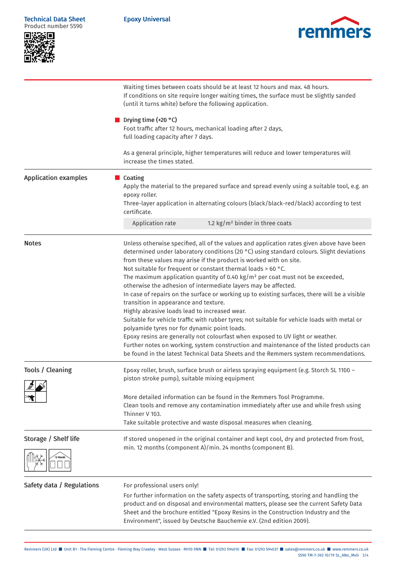| <b>Technical Data Sheet</b><br>Product number 5590 | <b>Epoxy Universal</b><br>remmers<br>Waiting times between coats should be at least 12 hours and max. 48 hours.<br>If conditions on site require longer waiting times, the surface must be slightly sanded<br>(until it turns white) before the following application.                                                                                                                                                                                                                                                                                                                                                                                                                                                                                                                                                                                                                                                                                                                                                                                                                                      |  |  |
|----------------------------------------------------|-------------------------------------------------------------------------------------------------------------------------------------------------------------------------------------------------------------------------------------------------------------------------------------------------------------------------------------------------------------------------------------------------------------------------------------------------------------------------------------------------------------------------------------------------------------------------------------------------------------------------------------------------------------------------------------------------------------------------------------------------------------------------------------------------------------------------------------------------------------------------------------------------------------------------------------------------------------------------------------------------------------------------------------------------------------------------------------------------------------|--|--|
|                                                    |                                                                                                                                                                                                                                                                                                                                                                                                                                                                                                                                                                                                                                                                                                                                                                                                                                                                                                                                                                                                                                                                                                             |  |  |
|                                                    | Drying time (+20 °C)<br>Foot traffic after 12 hours, mechanical loading after 2 days,<br>full loading capacity after 7 days.                                                                                                                                                                                                                                                                                                                                                                                                                                                                                                                                                                                                                                                                                                                                                                                                                                                                                                                                                                                |  |  |
|                                                    | As a general principle, higher temperatures will reduce and lower temperatures will<br>increase the times stated.                                                                                                                                                                                                                                                                                                                                                                                                                                                                                                                                                                                                                                                                                                                                                                                                                                                                                                                                                                                           |  |  |
| <b>Application examples</b>                        | ■ Coating<br>Apply the material to the prepared surface and spread evenly using a suitable tool, e.g. an<br>epoxy roller.<br>Three-layer application in alternating colours (black/black-red/black) according to test<br>certificate.                                                                                                                                                                                                                                                                                                                                                                                                                                                                                                                                                                                                                                                                                                                                                                                                                                                                       |  |  |
|                                                    | Application rate<br>1.2 $\text{kg/m}^2$ binder in three coats                                                                                                                                                                                                                                                                                                                                                                                                                                                                                                                                                                                                                                                                                                                                                                                                                                                                                                                                                                                                                                               |  |  |
| <b>Notes</b>                                       | Unless otherwise specified, all of the values and application rates given above have been<br>determined under laboratory conditions (20 °C) using standard colours. Slight deviations<br>from these values may arise if the product is worked with on site.<br>Not suitable for frequent or constant thermal loads > 60 °C.<br>The maximum application quantity of 0.40 kg/m <sup>2</sup> per coat must not be exceeded,<br>otherwise the adhesion of intermediate layers may be affected.<br>In case of repairs on the surface or working up to existing surfaces, there will be a visible<br>transition in appearance and texture.<br>Highly abrasive loads lead to increased wear.<br>Suitable for vehicle traffic with rubber tyres; not suitable for vehicle loads with metal or<br>polyamide tyres nor for dynamic point loads.<br>Epoxy resins are generally not colourfast when exposed to UV light or weather.<br>Further notes on working, system construction and maintenance of the listed products can<br>be found in the latest Technical Data Sheets and the Remmers system recommendations. |  |  |
| <b>Tools / Cleaning</b>                            | Epoxy roller, brush, surface brush or airless spraying equipment (e.g. Storch SL 1100 -<br>piston stroke pump), suitable mixing equipment                                                                                                                                                                                                                                                                                                                                                                                                                                                                                                                                                                                                                                                                                                                                                                                                                                                                                                                                                                   |  |  |
|                                                    | More detailed information can be found in the Remmers Tool Programme.<br>Clean tools and remove any contamination immediately after use and while fresh using<br>Thinner V 103.<br>Take suitable protective and waste disposal measures when cleaning.                                                                                                                                                                                                                                                                                                                                                                                                                                                                                                                                                                                                                                                                                                                                                                                                                                                      |  |  |
| Storage / Shelf life                               | If stored unopened in the original container and kept cool, dry and protected from frost,<br>min. 12 months (component A)/min. 24 months (component B).                                                                                                                                                                                                                                                                                                                                                                                                                                                                                                                                                                                                                                                                                                                                                                                                                                                                                                                                                     |  |  |
| Safety data / Regulations                          | For professional users only!<br>For further information on the safety aspects of transporting, storing and handling the<br>product and on disposal and environmental matters, please see the current Safety Data<br>Sheet and the brochure entitled "Epoxy Resins in the Construction Industry and the<br>Environment", issued by Deutsche Bauchemie e.V. (2nd edition 2009).                                                                                                                                                                                                                                                                                                                                                                                                                                                                                                                                                                                                                                                                                                                               |  |  |